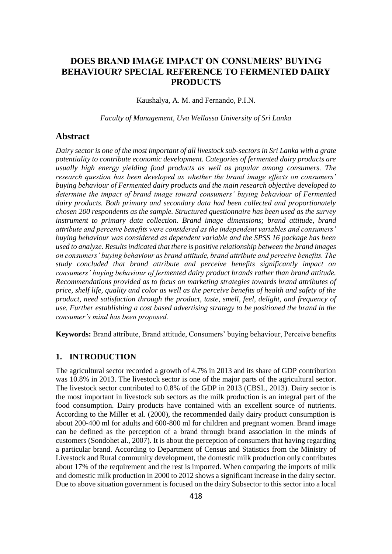# **DOES BRAND IMAGE IMPACT ON CONSUMERS' BUYING BEHAVIOUR? SPECIAL REFERENCE TO FERMENTED DAIRY PRODUCTS**

Kaushalya, A. M. and Fernando, P.I.N.

*Faculty of Management, Uva Wellassa University of Sri Lanka*

## **Abstract**

*Dairy sector is one of the most important of all livestock sub-sectors in Sri Lanka with a grate potentiality to contribute economic development. Categories of fermented dairy products are usually high energy yielding food products as well as popular among consumers. The research question has been developed as whether the brand image effects on consumers' buying behaviour of Fermented dairy products and the main research objective developed to determine the impact of brand image toward consumers' buying behaviour of Fermented dairy products. Both primary and secondary data had been collected and proportionately chosen 200 respondents as the sample. Structured questionnaire has been used as the survey instrument to primary data collection. Brand image dimensions; brand attitude, brand attribute and perceive benefits were considered as the independent variables and consumers' buying behaviour was considered as dependent variable and the SPSS 16 package has been used to analyze. Results indicated that there is positive relationship between the brand images on consumers' buying behaviour as brand attitude, brand attribute and perceive benefits. The study concluded that brand attribute and perceive benefits significantly impact on consumers' buying behaviour of fermented dairy product brands rather than brand attitude. Recommendations provided as to focus on marketing strategies towards brand attributes of price, shelf life, quality and color as well as the perceive benefits of health and safety of the product, need satisfaction through the product, taste, smell, feel, delight, and frequency of use. Further establishing a cost based advertising strategy to be positioned the brand in the consumer's mind has been proposed.* 

**Keywords:** Brand attribute, Brand attitude, Consumers' buying behaviour, Perceive benefits

## **1. INTRODUCTION**

The agricultural sector recorded a growth of 4.7% in 2013 and its share of GDP contribution was 10.8% in 2013. The livestock sector is one of the major parts of the agricultural sector. The livestock sector contributed to 0.8% of the GDP in 2013 (CBSL, 2013). Dairy sector is the most important in livestock sub sectors as the milk production is an integral part of the food consumption. Dairy products have contained with an excellent source of nutrients. According to the Miller et al. (2000), the recommended daily dairy product consumption is about 200-400 ml for adults and 600-800 ml for children and pregnant women. Brand image can be defined as the perception of a brand through brand association in the minds of customers (Sondohet al., 2007). It is about the perception of consumers that having regarding a particular brand. According to Department of Census and Statistics from the Ministry of Livestock and Rural community development, the domestic milk production only contributes about 17% of the requirement and the rest is imported. When comparing the imports of milk and domestic milk production in 2000 to 2012 shows a significant increase in the dairy sector. Due to above situation government is focused on the dairy Subsector to this sector into a local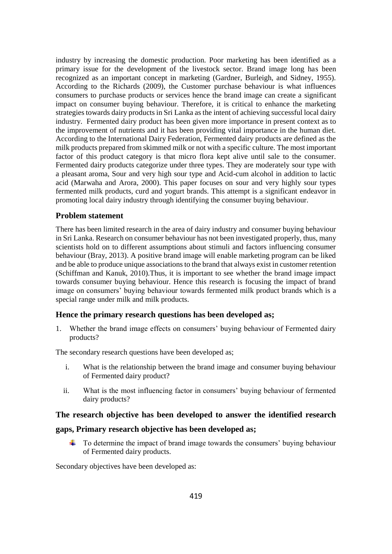industry by increasing the domestic production. Poor marketing has been identified as a primary issue for the development of the livestock sector. Brand image long has been recognized as an important concept in marketing (Gardner, Burleigh, and Sidney, 1955). According to the Richards (2009), the Customer purchase behaviour is what influences consumers to purchase products or services hence the brand image can create a significant impact on consumer buying behaviour. Therefore, it is critical to enhance the marketing strategies towards dairy products in Sri Lanka as the intent of achieving successful local dairy industry. Fermented dairy product has been given more importance in present context as to the improvement of nutrients and it has been providing vital importance in the human diet. According to the International Dairy Federation, Fermented dairy products are defined as the milk products prepared from skimmed milk or not with a specific culture. The most important factor of this product category is that micro flora kept alive until sale to the consumer. Fermented dairy products categorize under three types. They are moderately sour type with a pleasant aroma, Sour and very high sour type and Acid-cum alcohol in addition to lactic acid (Marwaha and Arora, 2000). This paper focuses on sour and very highly sour types fermented milk products, curd and yogurt brands. This attempt is a significant endeavor in promoting local dairy industry through identifying the consumer buying behaviour.

## **Problem statement**

There has been limited research in the area of dairy industry and consumer buying behaviour in Sri Lanka. Research on consumer behaviour has not been investigated properly, thus, many scientists hold on to different assumptions about stimuli and factors influencing consumer behaviour (Bray, 2013). A positive brand image will enable marketing program can be liked and be able to produce unique associations to the brand that always exist in customer retention (Schiffman and Kanuk, 2010).Thus, it is important to see whether the brand image impact towards consumer buying behaviour. Hence this research is focusing the impact of brand image on consumers' buying behaviour towards fermented milk product brands which is a special range under milk and milk products.

## **Hence the primary research questions has been developed as;**

1. Whether the brand image effects on consumers' buying behaviour of Fermented dairy products?

The secondary research questions have been developed as;

- i. What is the relationship between the brand image and consumer buying behaviour of Fermented dairy product?
- ii. What is the most influencing factor in consumers' buying behaviour of fermented dairy products?

## **The research objective has been developed to answer the identified research**

## **gaps, Primary research objective has been developed as;**

 $\downarrow$  To determine the impact of brand image towards the consumers' buying behaviour of Fermented dairy products.

Secondary objectives have been developed as: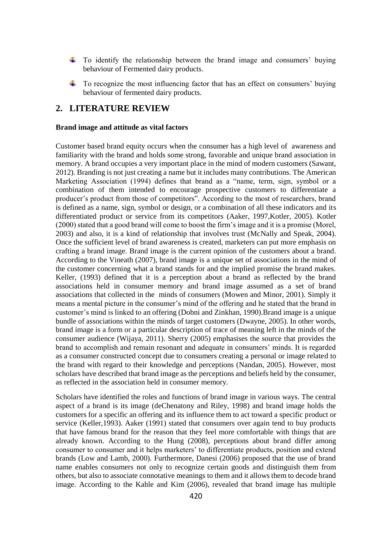- $\pm$  To identify the relationship between the brand image and consumers' buying behaviour of Fermented dairy products.
- $\overline{\phantom{a}}$  To recognize the most influencing factor that has an effect on consumers' buying behaviour of fermented dairy products.

# **2. LITERATURE REVIEW**

#### **Brand image and attitude as vital factors**

Customer based brand equity occurs when the consumer has a high level of awareness and familiarity with the brand and holds some strong, favorable and unique brand association in memory. A brand occupies a very important place in the mind of modern customers (Sawant, 2012). Branding is not just creating a name but it includes many contributions. The American Marketing Association (1994) defines that brand as a "name, term, sign, symbol or a combination of them intended to encourage prospective customers to differentiate a producer's product from those of competitors". According to the most of researchers, brand is defined as a name, sign, symbol or design, or a combination of all these indicators and its differentiated product or service from its competitors (Aaker, 1997,Kotler, 2005). Kotler (2000) stated that a good brand will come to boost the firm's image and it is a promise (Morel, 2003) and also, it is a kind of relationship that involves trust (McNally and Speak, 2004). Once the sufficient level of brand awareness is created, marketers can put more emphasis on crafting a brand image. Brand image is the current opinion of the customers about a brand. According to the Vineath (2007), brand image is a unique set of associations in the mind of the customer concerning what a brand stands for and the implied promise the brand makes. Keller, (1993) defined that it is a perception about a brand as reflected by the brand associations held in consumer memory and brand image assumed as a set of brand associations that collected in the minds of consumers (Mowen and Minor, 2001). Simply it means a mental picture in the consumer's mind of the offering and he stated that the brand in customer's mind is linked to an offering (Dobni and Zinkhan, 1990).Brand image is a unique bundle of associations within the minds of target customers (Dwayne, 2005). In other words, brand image is a form or a particular description of trace of meaning left in the minds of the consumer audience (Wijaya, 2011). Sherry (2005) emphasises the source that provides the brand to accomplish and remain resonant and adequate in consumers' minds. It is regarded as a consumer constructed concept due to consumers creating a personal or image related to the brand with regard to their knowledge and perceptions (Nandan, 2005). However, most scholars have described that brand image as the perceptions and beliefs held by the consumer, as reflected in the association held in consumer memory.

Scholars have identified the roles and functions of brand image in various ways. The central aspect of a brand is its image (deChenatony and Riley, 1998) and brand image holds the customers for a specific an offering and its influence them to act toward a specific product or service (Keller,1993). Aaker (1991) stated that consumers over again tend to buy products that have famous brand for the reason that they feel more comfortable with things that are already known. According to the Hung (2008), perceptions about brand differ among consumer to consumer and it helps marketers' to differentiate products, position and extend brands (Low and Lamb, 2000). Furthermore, Danesi (2006) proposed that the use of brand name enables consumers not only to recognize certain goods and distinguish them from others, but also to associate connotative meanings to them and it allows them to decode brand image. According to the Kahle and Kim (2006), revealed that brand image has multiple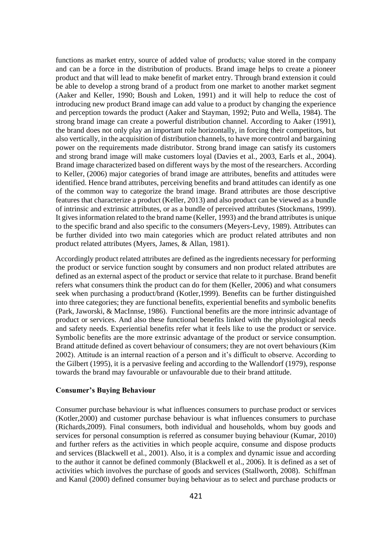functions as market entry, source of added value of products; value stored in the company and can be a force in the distribution of products. Brand image helps to create a pioneer product and that will lead to make benefit of market entry. Through brand extension it could be able to develop a strong brand of a product from one market to another market segment (Aaker and Keller, 1990; Boush and Loken, 1991) and it will help to reduce the cost of introducing new product Brand image can add value to a product by changing the experience and perception towards the product (Aaker and Stayman, 1992; Puto and Wella, 1984). The strong brand image can create a powerful distribution channel. According to Aaker (1991), the brand does not only play an important role horizontally, in forcing their competitors, but also vertically, in the acquisition of distribution channels, to have more control and bargaining power on the requirements made distributor. Strong brand image can satisfy its customers and strong brand image will make customers loyal (Davies et al., 2003, Earls et al., 2004). Brand image characterized based on different ways by the most of the researchers. According to Keller, (2006) major categories of brand image are attributes, benefits and attitudes were identified. Hence brand attributes, perceiving benefits and brand attitudes can identify as one of the common way to categorize the brand image. Brand attributes are those descriptive features that characterize a product (Keller, 2013) and also product can be viewed as a bundle of intrinsic and extrinsic attributes, or as a bundle of perceived attributes (Stockmans, 1999). It gives information related to the brand name (Keller, 1993) and the brand attributes is unique to the specific brand and also specific to the consumers (Meyers-Levy, 1989). Attributes can be further divided into two main categories which are product related attributes and non product related attributes (Myers, James, & Allan, 1981).

Accordingly product related attributes are defined as the ingredients necessary for performing the product or service function sought by consumers and non product related attributes are defined as an external aspect of the product or service that relate to it purchase. Brand benefit refers what consumers think the product can do for them (Keller, 2006) and what consumers seek when purchasing a product/brand (Kotler,1999). Benefits can be further distinguished into three categories; they are functional benefits, experiential benefits and symbolic benefits (Park, Jaworski, & MacInnse, 1986). Functional benefits are the more intrinsic advantage of product or services. And also these functional benefits linked with the physiological needs and safety needs. Experiential benefits refer what it feels like to use the product or service. Symbolic benefits are the more extrinsic advantage of the product or service consumption. Brand attitude defined as covert behaviour of consumers; they are not overt behaviours (Kim 2002). Attitude is an internal reaction of a person and it's difficult to observe. According to the Gilbert (1995), it is a pervasive feeling and according to the Wallendorf (1979), response towards the brand may favourable or unfavourable due to their brand attitude.

#### **Consumer's Buying Behaviour**

Consumer purchase behaviour is what influences consumers to purchase product or services (Kotler,2000) and customer purchase behaviour is what influences consumers to purchase (Richards,2009). Final consumers, both individual and households, whom buy goods and services for personal consumption is referred as consumer buying behaviour (Kumar, 2010) and further refers as the activities in which people acquire, consume and dispose products and services (Blackwell et al., 2001). Also, it is a complex and dynamic issue and according to the author it cannot be defined commonly (Blackwell et al., 2006). It is defined as a set of activities which involves the purchase of goods and services (Stallworth, 2008). Schiffman and Kanul (2000) defined consumer buying behaviour as to select and purchase products or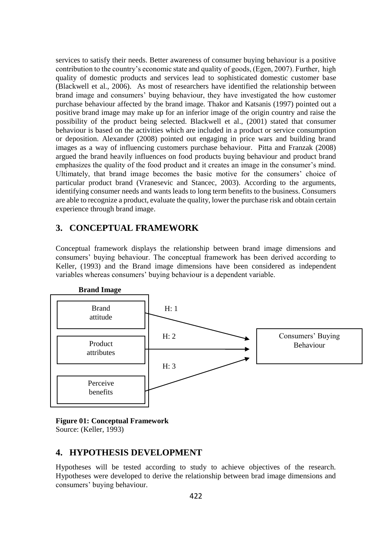services to satisfy their needs. Better awareness of consumer buying behaviour is a positive contribution to the country's economic state and quality of goods, (Egen, 2007). Further, high quality of domestic products and services lead to sophisticated domestic customer base (Blackwell et al., 2006). As most of researchers have identified the relationship between brand image and consumers' buying behaviour, they have investigated the how customer purchase behaviour affected by the brand image. Thakor and Katsanis (1997) pointed out a positive brand image may make up for an inferior image of the origin country and raise the possibility of the product being selected. Blackwell et al., (2001) stated that consumer behaviour is based on the activities which are included in a product or service consumption or deposition. Alexander (2008) pointed out engaging in price wars and building brand images as a way of influencing customers purchase behaviour. Pitta and Franzak (2008) argued the brand heavily influences on food products buying behaviour and product brand emphasizes the quality of the food product and it creates an image in the consumer's mind. Ultimately, that brand image becomes the basic motive for the consumers' choice of particular product brand (Vranesevic and Stancec, 2003). According to the arguments, identifying consumer needs and wants leads to long term benefits to the business. Consumers are able to recognize a product, evaluate the quality, lower the purchase risk and obtain certain experience through brand image.

# **3. CONCEPTUAL FRAMEWORK**

Conceptual framework displays the relationship between brand image dimensions and consumers' buying behaviour. The conceptual framework has been derived according to Keller, (1993) and the Brand image dimensions have been considered as independent variables whereas consumers' buying behaviour is a dependent variable.



#### **Figure 01: Conceptual Framework**

Source: (Keller, 1993)

## **4. HYPOTHESIS DEVELOPMENT**

Hypotheses will be tested according to study to achieve objectives of the research. Hypotheses were developed to derive the relationship between brad image dimensions and consumers' buying behaviour.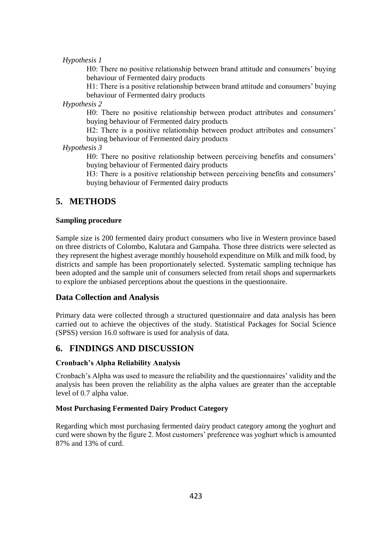#### *Hypothesis 1*

H0: There no positive relationship between brand attitude and consumers' buying behaviour of Fermented dairy products

H1: There is a positive relationship between brand attitude and consumers' buying behaviour of Fermented dairy products

*Hypothesis 2*

H0: There no positive relationship between product attributes and consumers' buying behaviour of Fermented dairy products

H2: There is a positive relationship between product attributes and consumers' buying behaviour of Fermented dairy products

*Hypothesis 3*

H0: There no positive relationship between perceiving benefits and consumers' buying behaviour of Fermented dairy products

H3: There is a positive relationship between perceiving benefits and consumers' buying behaviour of Fermented dairy products

## **5. METHODS**

### **Sampling procedure**

Sample size is 200 fermented dairy product consumers who live in Western province based on three districts of Colombo, Kalutara and Gampaha. Those three districts were selected as they represent the highest average monthly household expenditure on Milk and milk food, by districts and sample has been proportionately selected. Systematic sampling technique has been adopted and the sample unit of consumers selected from retail shops and supermarkets to explore the unbiased perceptions about the questions in the questionnaire.

## **Data Collection and Analysis**

Primary data were collected through a structured questionnaire and data analysis has been carried out to achieve the objectives of the study. Statistical Packages for Social Science (SPSS) version 16.0 software is used for analysis of data.

## **6. FINDINGS AND DISCUSSION**

#### **Cronbach's Alpha Reliability Analysis**

Cronbach's Alpha was used to measure the reliability and the questionnaires' validity and the analysis has been proven the reliability as the alpha values are greater than the acceptable level of 0.7 alpha value.

#### **Most Purchasing Fermented Dairy Product Category**

Regarding which most purchasing fermented dairy product category among the yoghurt and curd were shown by the figure 2. Most customers' preference was yoghurt which is amounted 87% and 13% of curd.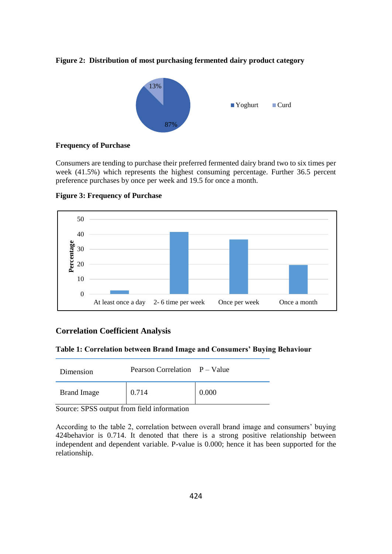



#### **Frequency of Purchase**

Consumers are tending to purchase their preferred fermented dairy brand two to six times per week (41.5%) which represents the highest consuming percentage. Further 36.5 percent preference purchases by once per week and 19.5 for once a month.



**Figure 3: Frequency of Purchase**

## **Correlation Coefficient Analysis**

#### **Table 1: Correlation between Brand Image and Consumers' Buying Behaviour**

| Dimension          | Pearson Correlation P – Value |       |
|--------------------|-------------------------------|-------|
| <b>Brand Image</b> | 0.714                         | 0.000 |

Source: SPSS output from field information

According to the table 2, correlation between overall brand image and consumers' buying 424behavior is 0.714. It denoted that there is a strong positive relationship between independent and dependent variable. P-value is 0.000; hence it has been supported for the relationship.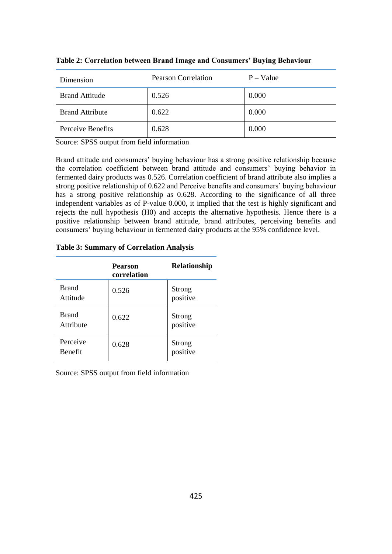| Dimension              | <b>Pearson Correlation</b> | $P - Value$ |
|------------------------|----------------------------|-------------|
| <b>Brand Attitude</b>  | 0.526                      | 0.000       |
| <b>Brand Attribute</b> | 0.622                      | 0.000       |
| Perceive Benefits      | 0.628                      | 0.000       |

**Table 2: Correlation between Brand Image and Consumers' Buying Behaviour**

Source: SPSS output from field information

Brand attitude and consumers' buying behaviour has a strong positive relationship because the correlation coefficient between brand attitude and consumers' buying behavior in fermented dairy products was 0.526. Correlation coefficient of brand attribute also implies a strong positive relationship of 0.622 and Perceive benefits and consumers' buying behaviour has a strong positive relationship as 0.628. According to the significance of all three independent variables as of P-value 0.000, it implied that the test is highly significant and rejects the null hypothesis (H0) and accepts the alternative hypothesis. Hence there is a positive relationship between brand attitude, brand attributes, perceiving benefits and consumers' buying behaviour in fermented dairy products at the 95% confidence level.

**Table 3: Summary of Correlation Analysis**

|                            | <b>Pearson</b><br>correlation | <b>Relationship</b> |
|----------------------------|-------------------------------|---------------------|
| <b>Brand</b><br>Attitude   | 0.526                         | Strong<br>positive  |
| <b>Brand</b><br>Attribute  | 0.622                         | Strong<br>positive  |
| Perceive<br><b>Benefit</b> | 0.628                         | Strong<br>positive  |

Source: SPSS output from field information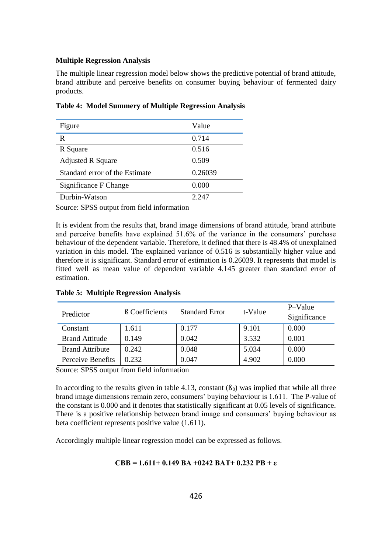#### **Multiple Regression Analysis**

The multiple linear regression model below shows the predictive potential of brand attitude, brand attribute and perceive benefits on consumer buying behaviour of fermented dairy products.

| Figure                         | Value   |
|--------------------------------|---------|
| R                              | 0.714   |
| R Square                       | 0.516   |
| <b>Adjusted R Square</b>       | 0.509   |
| Standard error of the Estimate | 0.26039 |
| Significance F Change          | 0.000   |
| Durbin-Watson                  | 2.247   |

**Table 4: Model Summery of Multiple Regression Analysis**

Source: SPSS output from field information

It is evident from the results that, brand image dimensions of brand attitude, brand attribute and perceive benefits have explained 51.6% of the variance in the consumers' purchase behaviour of the dependent variable. Therefore, it defined that there is 48.4% of unexplained variation in this model. The explained variance of 0.516 is substantially higher value and therefore it is significant. Standard error of estimation is 0.26039. It represents that model is fitted well as mean value of dependent variable 4.145 greater than standard error of estimation.

| Predictor              | <b>B</b> Coefficients | <b>Standard Error</b> | t-Value | P-Value<br>Significance |
|------------------------|-----------------------|-----------------------|---------|-------------------------|
| Constant               | 1.611                 | 0.177                 | 9.101   | 0.000                   |
| <b>Brand Attitude</b>  | 0.149                 | 0.042                 | 3.532   | 0.001                   |
| <b>Brand Attribute</b> | 0.242                 | 0.048                 | 5.034   | 0.000                   |
| Perceive Benefits      | 0.232                 | 0.047                 | 4.902   | 0.000                   |

**Table 5: Multiple Regression Analysis**

Source: SPSS output from field information

In according to the results given in table 4.13, constant  $(\beta_0)$  was implied that while all three brand image dimensions remain zero, consumers' buying behaviour is 1.611. The P-value of the constant is 0.000 and it denotes that statistically significant at 0.05 levels of significance. There is a positive relationship between brand image and consumers' buying behaviour as beta coefficient represents positive value (1.611).

Accordingly multiple linear regression model can be expressed as follows.

## **CBB = 1.611+ 0.149 BA +0242 BAT+ 0.232 PB + ε**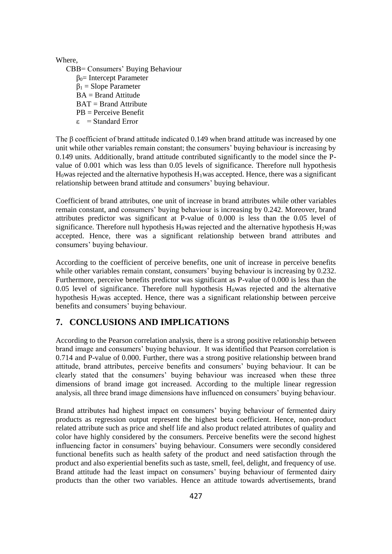Where,

CBB= Consumers' Buying Behaviour  $β<sub>0</sub>$ = Intercept Parameter  $β<sub>1</sub> = Slope Parameter$  $BA = Brand$  Attitude BAT = Brand Attribute PB = Perceive Benefit  $\epsilon$  = Standard Error

The β coefficient of brand attitude indicated 0.149 when brand attitude was increased by one unit while other variables remain constant; the consumers' buying behaviour is increasing by 0.149 units. Additionally, brand attitude contributed significantly to the model since the Pvalue of 0.001 which was less than 0.05 levels of significance. Therefore null hypothesis  $H_0$ was rejected and the alternative hypothesis  $H_1$ was accepted. Hence, there was a significant relationship between brand attitude and consumers' buying behaviour.

Coefficient of brand attributes, one unit of increase in brand attributes while other variables remain constant, and consumers' buying behaviour is increasing by 0.242. Moreover, brand attributes predictor was significant at P-value of 0.000 is less than the 0.05 level of significance. Therefore null hypothesis  $H_0$ was rejected and the alternative hypothesis  $H_2$ was accepted. Hence, there was a significant relationship between brand attributes and consumers' buying behaviour.

According to the coefficient of perceive benefits, one unit of increase in perceive benefits while other variables remain constant, consumers' buying behaviour is increasing by 0.232. Furthermore, perceive benefits predictor was significant as P-value of 0.000 is less than the  $0.05$  level of significance. Therefore null hypothesis  $H_0$ was rejected and the alternative hypothesis H3was accepted. Hence, there was a significant relationship between perceive benefits and consumers' buying behaviour.

# **7. CONCLUSIONS AND IMPLICATIONS**

According to the Pearson correlation analysis, there is a strong positive relationship between brand image and consumers' buying behaviour. It was identified that Pearson correlation is 0.714 and P-value of 0.000. Further, there was a strong positive relationship between brand attitude, brand attributes, perceive benefits and consumers' buying behaviour. It can be clearly stated that the consumers' buying behaviour was increased when these three dimensions of brand image got increased. According to the multiple linear regression analysis, all three brand image dimensions have influenced on consumers' buying behaviour.

Brand attributes had highest impact on consumers' buying behaviour of fermented dairy products as regression output represent the highest beta coefficient. Hence, non-product related attribute such as price and shelf life and also product related attributes of quality and color have highly considered by the consumers. Perceive benefits were the second highest influencing factor in consumers' buying behaviour. Consumers were secondly considered functional benefits such as health safety of the product and need satisfaction through the product and also experiential benefits such as taste, smell, feel, delight, and frequency of use. Brand attitude had the least impact on consumers' buying behaviour of fermented dairy products than the other two variables. Hence an attitude towards advertisements, brand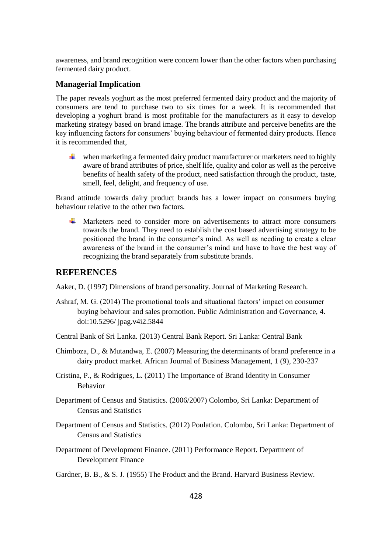awareness, and brand recognition were concern lower than the other factors when purchasing fermented dairy product.

## **Managerial Implication**

The paper reveals yoghurt as the most preferred fermented dairy product and the majority of consumers are tend to purchase two to six times for a week. It is recommended that developing a yoghurt brand is most profitable for the manufacturers as it easy to develop marketing strategy based on brand image. The brands attribute and perceive benefits are the key influencing factors for consumers' buying behaviour of fermented dairy products. Hence it is recommended that,

when marketing a fermented dairy product manufacturer or marketers need to highly aware of brand attributes of price, shelf life, quality and color as well as the perceive benefits of health safety of the product, need satisfaction through the product, taste, smell, feel, delight, and frequency of use.

Brand attitude towards dairy product brands has a lower impact on consumers buying behaviour relative to the other two factors.

 $\uparrow$  Marketers need to consider more on advertisements to attract more consumers towards the brand. They need to establish the cost based advertising strategy to be positioned the brand in the consumer's mind. As well as needing to create a clear awareness of the brand in the consumer's mind and have to have the best way of recognizing the brand separately from substitute brands.

## **REFERENCES**

Aaker, D. (1997) Dimensions of brand personality. Journal of Marketing Research.

- Ashraf, M. G. (2014) The promotional tools and situational factors' impact on consumer buying behaviour and sales promotion. Public Administration and Governance, 4. doi:10.5296/ jpag.v4i2.5844
- Central Bank of Sri Lanka. (2013) Central Bank Report. Sri Lanka: Central Bank
- Chimboza, D., & Mutandwa, E. (2007) Measuring the determinants of brand preference in a dairy product market. African Journal of Business Management, 1 (9), 230-237
- Cristina, P., & Rodrigues, L. (2011) The Importance of Brand Identity in Consumer Behavior
- Department of Census and Statistics. (2006/2007) Colombo, Sri Lanka: Department of Census and Statistics
- Department of Census and Statistics. (2012) Poulation. Colombo, Sri Lanka: Department of Census and Statistics
- Department of Development Finance. (2011) Performance Report. Department of Development Finance

Gardner, B. B., & S. J. (1955) The Product and the Brand. Harvard Business Review.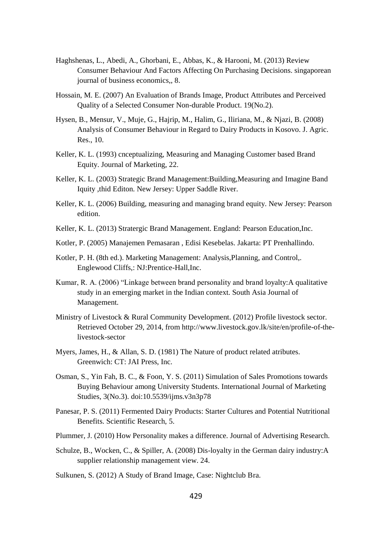- Haghshenas, L., Abedi, A., Ghorbani, E., Abbas, K., & Harooni, M. (2013) Review Consumer Behaviour And Factors Affecting On Purchasing Decisions. singaporean journal of business economics,, 8.
- Hossain, M. E. (2007) An Evaluation of Brands Image, Product Attributes and Perceived Quality of a Selected Consumer Non-durable Product. 19(No.2).
- Hysen, B., Mensur, V., Muje, G., Hajrip, M., Halim, G., Iliriana, M., & Njazi, B. (2008) Analysis of Consumer Behaviour in Regard to Dairy Products in Kosovo. J. Agric. Res., 10.
- Keller, K. L. (1993) cnceptualizing, Measuring and Managing Customer based Brand Equity. Journal of Marketing, 22.
- Keller, K. L. (2003) Strategic Brand Management:Building,Measuring and Imagine Band Iquity ,thid Editon. New Jersey: Upper Saddle River.
- Keller, K. L. (2006) Building, measuring and managing brand equity. New Jersey: Pearson edition.
- Keller, K. L. (2013) Stratergic Brand Management. England: Pearson Education,Inc.
- Kotler, P. (2005) Manajemen Pemasaran , Edisi Kesebelas. Jakarta: PT Prenhallindo.
- Kotler, P. H. (8th ed.). Marketing Management: Analysis,Planning, and Control,. Englewood Cliffs,: NJ:Prentice-Hall,Inc.
- Kumar, R. A. (2006) "Linkage between brand personality and brand loyalty:A qualitative study in an emerging market in the Indian context. South Asia Journal of Management.
- Ministry of Livestock & Rural Community Development. (2012) Profile livestock sector. Retrieved October 29, 2014, from http://www.livestock.gov.lk/site/en/profile-of-thelivestock-sector
- Myers, James, H., & Allan, S. D. (1981) The Nature of product related atributes. Greenwich: CT: JAI Press, Inc.
- Osman, S., Yin Fah, B. C., & Foon, Y. S. (2011) Simulation of Sales Promotions towards Buying Behaviour among University Students. International Journal of Marketing Studies, 3(No.3). doi:10.5539/ijms.v3n3p78
- Panesar, P. S. (2011) Fermented Dairy Products: Starter Cultures and Potential Nutritional Benefits. Scientific Research, 5.
- Plummer, J. (2010) How Personality makes a difference. Journal of Advertising Research.
- Schulze, B., Wocken, C., & Spiller, A. (2008) Dis-loyalty in the German dairy industry:A supplier relationship management view. 24.
- Sulkunen, S. (2012) A Study of Brand Image, Case: Nightclub Bra.